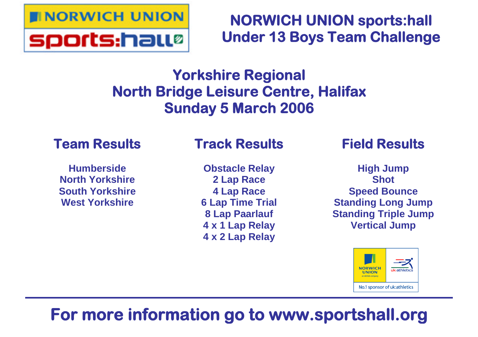

# **NORWICH UNION sports:hall Under 13 Boys Team Challenge**

# **Yorkshire Regional North Bridge Leisure Centre, Halifax Sunday 5 March 2006**

## **Team Results**

**Humberside North Yorkshire South Yorkshire West Yorkshire**

# **Track Results**

**Obstacle Relay 2 Lap Race 4 Lap Race 6 Lap Time Trial 8 Lap Paarlauf 4 x 1 Lap Relay 4 x 2 Lap Relay**

## **Field Results**

**High Jump Shot Speed Bounce Standing Long Jump Standing Triple Jump Vertical Jump**



# **For more information go to www.sportshall.org**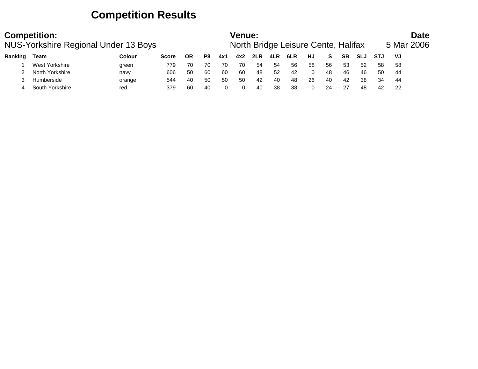### **Competition Results**

| <b>Competition:</b><br>NUS-Yorkshire Regional Under 13 Boys |                 |               |              |    |    |     |     | Venue:<br>North Bridge Leisure Cente, Halifax |     |     |          |     |    |            |            | <b>Date</b><br>5 Mar 2006 |  |  |
|-------------------------------------------------------------|-----------------|---------------|--------------|----|----|-----|-----|-----------------------------------------------|-----|-----|----------|-----|----|------------|------------|---------------------------|--|--|
| Ranking                                                     | Team            | <b>Colour</b> | <b>Score</b> | ΟR | P8 | 4x1 | 4x2 | 2LR                                           | 4LR | 6LR | HJ       | S.  | SВ | <b>SLJ</b> | <b>STJ</b> | VJ                        |  |  |
|                                                             | West Yorkshire  | green         | 779          | 70 | 70 | 70  | 70  | -54                                           | 54  | 56  | 58       | 56  | 53 | 52         | 58         | 58                        |  |  |
|                                                             | North Yorkshire | navv          | 606          | 50 | 60 | 60  | 60  | 48                                            | 52  | 42  | $\Omega$ | 48  | 46 | 46         | 50         | -44                       |  |  |
|                                                             | Humberside      | orange        | 544          | 40 | 50 | 50  | 50  | 42                                            | 40  | 48  | 26       | -40 | 42 | 38         | 34         | 44                        |  |  |
|                                                             | South Yorkshire | red           | 379          | 60 | 40 |     |     | 40                                            | 38  | 38  | 0        | 24  | 27 | 48         | 42         | 22                        |  |  |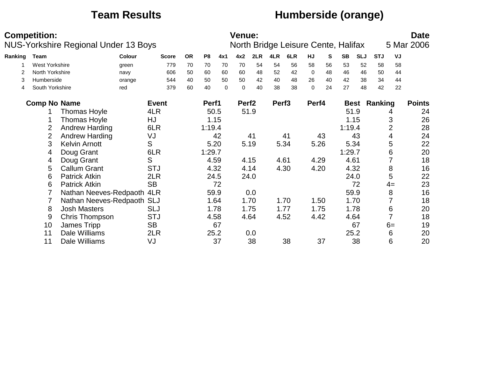### **Team Results Humberside (orange)**

|         | <b>Competition:</b>   | NUS-Yorkshire Regional Under 13 Boys |        |              |           |                |     | <b>Venue:</b>     |      |                   | North Bridge Leisure Cente, Halifax |             |    |           |            |                     |                | <b>Date</b><br>5 Mar 2006 |
|---------|-----------------------|--------------------------------------|--------|--------------|-----------|----------------|-----|-------------------|------|-------------------|-------------------------------------|-------------|----|-----------|------------|---------------------|----------------|---------------------------|
| Ranking | Team                  |                                      | Colour | <b>Score</b> | <b>OR</b> | P <sub>8</sub> | 4x1 | 4x2               | 2LR  | 4LR               | 6LR                                 | HJ          | S  | <b>SB</b> | <b>SLJ</b> | <b>STJ</b>          | VJ             |                           |
|         | <b>West Yorkshire</b> |                                      | green  | 779          | 70        | 70             | 70  | 70                | 54   | 54                | 56                                  | 58          | 56 | 53        | 52         | 58                  | 58             |                           |
|         | North Yorkshire       |                                      | navy   | 606          | 50        | 60             | 60  | 60                | 48   | 52                | 42                                  | $\mathbf 0$ | 48 | 46        | 46         | 50                  | 44             |                           |
| 3       | Humberside            |                                      | orange | 544          | 40        | 50             | 50  | 50                | 42   | 40                | 48                                  | 26          | 40 | 42        | 38         | 34                  | 44             |                           |
| 4       | South Yorkshire       |                                      | red    | 379          | 60        | 40             | 0   | $\mathbf 0$       | 40   | 38                | 38                                  | $\Omega$    | 24 | 27        | 48         | 42                  | 22             |                           |
|         | <b>Comp No Name</b>   |                                      |        | <b>Event</b> |           | Perf1          |     | Perf <sub>2</sub> |      | Perf <sub>3</sub> |                                     | Perf4       |    |           |            | <b>Best Ranking</b> |                | <b>Points</b>             |
|         |                       | <b>Thomas Hoyle</b>                  |        | 4LR          |           | 50.5           |     | 51.9              |      |                   |                                     |             |    |           | 51.9       |                     | 4              | 24                        |
|         |                       | <b>Thomas Hoyle</b>                  |        | HJ           |           | 1.15           |     |                   |      |                   |                                     |             |    |           | 1.15       |                     | 3              | 26                        |
|         | 2                     | <b>Andrew Harding</b>                |        | 6LR          |           | 1:19.4         |     |                   |      |                   |                                     |             |    | 1:19.4    |            |                     | $\overline{2}$ | 28                        |
|         | 2                     | <b>Andrew Harding</b>                |        | VJ           |           |                | 42  |                   | 41   |                   | 41                                  |             | 43 |           | 43         |                     | 4              | 24                        |
|         | 3                     | <b>Kelvin Arnott</b>                 |        | S            |           | 5.20           |     | 5.19              |      |                   | 5.34                                | 5.26        |    |           | 5.34       |                     | 5              | 22                        |
|         | 4                     | Doug Grant                           |        | 6LR          |           | 1:29.7         |     |                   |      |                   |                                     |             |    | 1:29.7    |            |                     | 6              | 20                        |
|         | 4                     | Doug Grant                           |        | S            |           | 4.59           |     |                   | 4.15 | 4.61              |                                     | 4.29        |    | 4.61      |            |                     |                | 18                        |
|         | 5                     | <b>Callum Grant</b>                  |        | <b>STJ</b>   |           | 4.32           |     | 4.14              |      |                   | 4.30                                | 4.20        |    |           | 4.32       |                     | 8              | 16                        |
|         | 6                     | <b>Patrick Atkin</b>                 |        | 2LR          |           | 24.5           |     |                   | 24.0 |                   |                                     |             |    |           | 24.0       |                     | 5              | 22                        |
|         | 6                     | <b>Patrick Atkin</b>                 |        | <b>SB</b>    |           |                | 72  |                   |      |                   |                                     |             |    |           | 72         |                     | $4=$           | 23                        |
|         |                       | Nathan Neeves-Redpaoth               |        | 4LR          |           | 59.9           |     |                   | 0.0  |                   |                                     |             |    |           | 59.9       |                     | 8              | 16                        |
|         |                       | Nathan Neeves-Redpaoth SLJ           |        |              |           | 1.64           |     |                   | 1.70 |                   | 1.70                                | 1.50        |    |           | 1.70       |                     |                | 18                        |
|         | 8                     | <b>Josh Masters</b>                  |        | <b>SLJ</b>   |           | 1.78           |     |                   | 1.75 |                   | 1.77                                | 1.75        |    |           | 1.78       |                     | 6              | 20                        |
|         | 9                     | Chris Thompson                       |        | <b>STJ</b>   |           | 4.58           |     | 4.64              |      |                   | 4.52                                | 4.42        |    |           | 4.64       |                     |                | 18                        |
|         | 10                    | James Tripp                          |        | <b>SB</b>    |           |                | 67  |                   |      |                   |                                     |             |    |           | 67         |                     | $6=$           | 19                        |
|         | 11                    | Dale Williams                        |        | 2LR          |           | 25.2           |     |                   | 0.0  |                   |                                     |             |    |           | 25.2       |                     | 6              | 20                        |
|         | 11                    | Dale Williams                        |        | VJ           |           |                | 37  |                   | 38   |                   | 38                                  |             | 37 |           | 38         |                     | 6              | 20                        |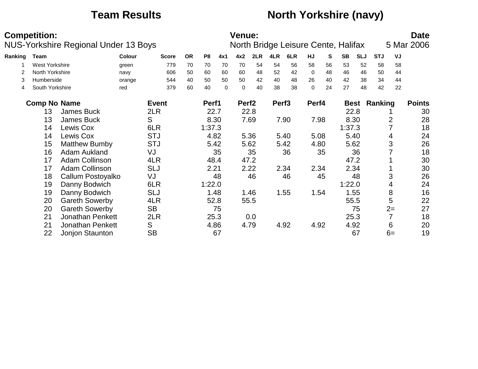### **Team Results North Yorkshire (navy)**

|         | <b>Competition:</b>   | <b>NUS-Yorkshire Regional Under 13 Boys</b> |               |              |           |                |          | <b>Venue:</b>     |      |                   | North Bridge Leisure Cente, Halifax |             |    |           |             |            |      | <b>Date</b><br>5 Mar 2006 |
|---------|-----------------------|---------------------------------------------|---------------|--------------|-----------|----------------|----------|-------------------|------|-------------------|-------------------------------------|-------------|----|-----------|-------------|------------|------|---------------------------|
| Ranking | Team                  |                                             | <b>Colour</b> | <b>Score</b> | <b>OR</b> | P <sub>8</sub> | 4x1      | 4x2               | 2LR  | 4LR               | 6LR                                 | HJ          | S  | <b>SB</b> | <b>SLJ</b>  | <b>STJ</b> | VJ   |                           |
|         | <b>West Yorkshire</b> |                                             | green         | 779          | 70        | 70             | 70       | 70                | 54   | 54                | 56                                  | 58          | 56 | 53        | 52          | 58         | 58   |                           |
| 2       | North Yorkshire       |                                             | navy          | 606          | 50        | 60             | 60       | 60                | 48   | 52                | 42                                  | $\mathbf 0$ | 48 | 46        | 46          | 50         | 44   |                           |
| 3       | Humberside            |                                             | orange        | 544          | 40        | 50             | 50       | 50                | 42   | 40                | 48                                  | 26          | 40 | 42        | 38          | 34         | 44   |                           |
| 4       | South Yorkshire       |                                             | red           | 379          | 60        | 40             | $\Omega$ | $\Omega$          | 40   | 38                | 38                                  | $\Omega$    | 24 | 27        | 48          | 42         | 22   |                           |
|         | <b>Comp No Name</b>   |                                             |               | <b>Event</b> |           | Perf1          |          | Perf <sub>2</sub> |      | Perf <sub>3</sub> |                                     | Perf4       |    |           | <b>Best</b> | Ranking    |      | <b>Points</b>             |
|         | 13                    | James Buck                                  |               | 2LR          |           | 22.7           |          |                   | 22.8 |                   |                                     |             |    |           | 22.8        |            |      | 30                        |
|         | 13                    | James Buck                                  |               | S            |           | 8.30           |          |                   | 7.69 |                   | 7.90                                | 7.98        |    | 8.30      |             |            | 2    | 28                        |
|         | 14                    | Lewis Cox                                   |               | 6LR          |           | 1:37.3         |          |                   |      |                   |                                     |             |    | 1:37.3    |             |            |      | 18                        |
|         | 14                    | Lewis Cox                                   |               | <b>STJ</b>   |           | 4.82           |          |                   | 5.36 |                   | 5.40                                | 5.08        |    |           | 5.40        |            | 4    | 24                        |
|         | 15                    | <b>Matthew Bumby</b>                        |               | <b>STJ</b>   |           | 5.42           |          |                   | 5.62 |                   | 5.42                                | 4.80        |    |           | 5.62        |            | 3    | 26                        |
|         | 16                    | Adam Aukland                                |               | VJ           |           |                | 35       |                   | 35   |                   | 36                                  |             | 35 |           | 36          |            |      | 18                        |
|         | 17                    | <b>Adam Collinson</b>                       |               | 4LR          |           | 48.4           |          |                   | 47.2 |                   |                                     |             |    | 47.2      |             |            |      | 30                        |
|         | 17                    | <b>Adam Collinson</b>                       |               | <b>SLJ</b>   |           | 2.21           |          |                   | 2.22 |                   | 2.34                                | 2.34        |    |           | 2.34        |            |      | 30                        |
|         | 18                    | Callum Postoyalko                           |               | VJ           |           |                | 48       |                   | 46   |                   | 46                                  |             | 45 |           | 48          |            | 3    | 26                        |
|         | 19                    | Danny Bodwich                               |               | 6LR          |           | 1:22.0         |          |                   |      |                   |                                     |             |    | 1:22.0    |             |            | 4    | 24                        |
|         | 19                    | Danny Bodwich                               |               | <b>SLJ</b>   |           |                | 1.48     |                   | 1.46 |                   | 1.55                                | 1.54        |    |           | 1.55        |            | 8    | 16                        |
|         | 20                    | <b>Gareth Sowerby</b>                       |               | 4LR          |           |                | 52.8     |                   | 55.5 |                   |                                     |             |    |           | 55.5        |            | 5    | 22                        |
|         | 20                    | <b>Gareth Sowerby</b>                       |               | <b>SB</b>    |           |                | 75       |                   |      |                   |                                     |             |    |           | 75          |            | $2=$ | 27                        |
|         | 21                    | Jonathan Penkett                            |               | 2LR          |           | 25.3           |          |                   | 0.0  |                   |                                     |             |    |           | 25.3        |            | 7    | 18                        |
|         | 21                    | <b>Jonathan Penkett</b>                     |               | S            |           | 4.86           |          |                   | 4.79 |                   | 4.92                                | 4.92        |    |           | 4.92        |            | 6    | 20                        |
|         | 22                    | Jonjon Staunton                             |               | <b>SB</b>    |           |                | 67       |                   |      |                   |                                     |             |    |           | 67          |            | $6=$ | 19                        |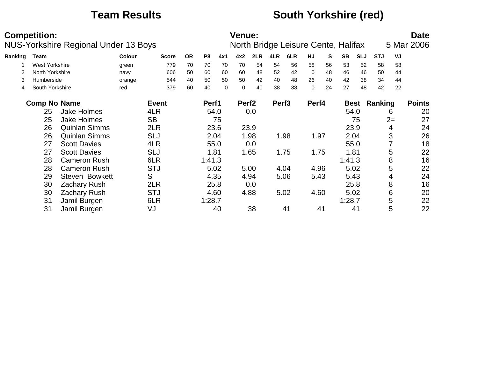### **Team Results South Yorkshire (red)**

|         | <b>Competition:</b> | <b>NUS-Yorkshire Regional Under 13 Boys</b> |               |              |           |                |     | <b>Venue:</b>     |      |                   | North Bridge Leisure Cente, Halifax |             |    |           |            |            |      | <b>Date</b><br>5 Mar 2006 |
|---------|---------------------|---------------------------------------------|---------------|--------------|-----------|----------------|-----|-------------------|------|-------------------|-------------------------------------|-------------|----|-----------|------------|------------|------|---------------------------|
| Ranking | Team                |                                             | <b>Colour</b> | <b>Score</b> | <b>OR</b> | P <sub>8</sub> | 4x1 | 4x2               | 2LR  | 4LR               | 6LR                                 | <b>HJ</b>   | S  | <b>SB</b> | <b>SLJ</b> | <b>STJ</b> | VJ   |                           |
|         | West Yorkshire      |                                             | green         | 779          | 70        | 70             | 70  | 70                | 54   | 54                | 56                                  | 58          | 56 | 53        | 52         | 58         | 58   |                           |
| 2       | North Yorkshire     |                                             | navy          | 606          | 50        | 60             | 60  | 60                | 48   | 52                | 42                                  | $\mathbf 0$ | 48 | 46        | 46         | 50         | 44   |                           |
| 3       | Humberside          |                                             | orange        | 544          | 40        | 50             | 50  | 50                | 42   | 40                | 48                                  | 26          | 40 | 42        | 38         | 34         | 44   |                           |
| 4       | South Yorkshire     |                                             | red           | 379          | 60        | 40             | 0   | $\mathbf 0$       | 40   | 38                | 38                                  | 0           | 24 | 27        | 48         | 42         | 22   |                           |
|         | <b>Comp No Name</b> |                                             |               | <b>Event</b> |           | Perf1          |     | Perf <sub>2</sub> |      | Perf <sub>3</sub> |                                     | Perf4       |    |           | Best       | Ranking    |      | <b>Points</b>             |
|         | 25                  | <b>Jake Holmes</b>                          |               | 4LR          |           | 54.0           |     |                   | 0.0  |                   |                                     |             |    | 54.0      |            |            | 6    | 20                        |
|         | 25                  | <b>Jake Holmes</b>                          |               | <b>SB</b>    |           |                | 75  |                   |      |                   |                                     |             |    |           | 75         |            | $2=$ | 27                        |
|         | 26                  | <b>Quinlan Simms</b>                        |               | 2LR          |           | 23.6           |     |                   | 23.9 |                   |                                     |             |    | 23.9      |            |            | 4    | 24                        |
|         | 26                  | <b>Quinlan Simms</b>                        |               | <b>SLJ</b>   |           | 2.04           |     |                   | 1.98 |                   | 1.98                                | 1.97        |    | 2.04      |            |            | 3    | 26                        |
|         | 27                  | <b>Scott Davies</b>                         |               | 4LR          |           | 55.0           |     |                   | 0.0  |                   |                                     |             |    | 55.0      |            |            |      | 18                        |
|         | 27                  | <b>Scott Davies</b>                         |               | <b>SLJ</b>   |           | 1.81           |     |                   | 1.65 |                   | 1.75                                | 1.75        |    | 1.81      |            |            | 5    | 22                        |
|         | 28                  | <b>Cameron Rush</b>                         |               | 6LR          |           | 1:41.3         |     |                   |      |                   |                                     |             |    | 1:41.3    |            |            | 8    | 16                        |
|         | 28                  | <b>Cameron Rush</b>                         |               | <b>STJ</b>   |           | 5.02           |     |                   | 5.00 |                   | 4.04                                | 4.96        |    | 5.02      |            |            | 5    | 22                        |
|         | 29                  | <b>Steven Bowkett</b>                       |               | S            |           | 4.35           |     |                   | 4.94 |                   | 5.06                                | 5.43        |    | 5.43      |            |            | 4    | 24                        |
|         | 30                  | Zachary Rush                                |               | 2LR          |           | 25.8           |     |                   | 0.0  |                   |                                     |             |    | 25.8      |            |            | 8    | 16                        |
|         | 30                  | <b>Zachary Rush</b>                         |               | <b>STJ</b>   |           | 4.60           |     |                   | 4.88 |                   | 5.02                                | 4.60        |    | 5.02      |            |            | 6    | 20                        |
|         | 31                  | Jamil Burgen                                |               | 6LR          |           | 1:28.7         |     |                   |      |                   |                                     |             |    | 1:28.7    |            |            | 5    | 22                        |
|         | 31                  | Jamil Burgen                                |               | VJ           |           |                | 40  |                   | 38   |                   | 41                                  |             | 41 |           | 41         |            | 5    | 22                        |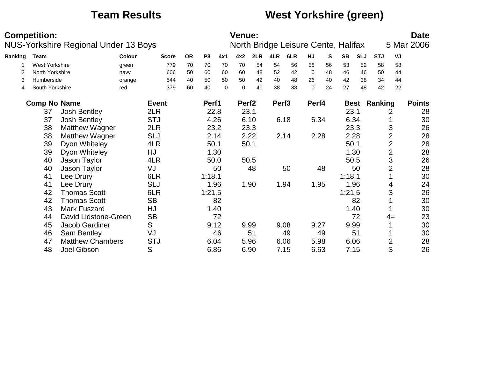### **Team Results West Yorkshire (green)**

|         | <b>Competition:</b>   | NUS-Yorkshire Regional Under 13 Boys |        |              |           |                |             | <b>Venue:</b>     |      |                   | North Bridge Leisure Cente, Halifax |           |    |           |            |            |                | <b>Date</b><br>5 Mar 2006 |
|---------|-----------------------|--------------------------------------|--------|--------------|-----------|----------------|-------------|-------------------|------|-------------------|-------------------------------------|-----------|----|-----------|------------|------------|----------------|---------------------------|
| Ranking | <b>Team</b>           |                                      | Colour | <b>Score</b> | <b>OR</b> | P <sub>8</sub> | 4x1         | 4x2               | 2LR  | 4LR               | 6LR                                 | <b>HJ</b> | S  | <b>SB</b> | <b>SLJ</b> | <b>STJ</b> | VJ             |                           |
|         | <b>West Yorkshire</b> |                                      | green  | 779          | 70        | 70             | 70          | 70                | 54   | 54                | 56                                  | 58        | 56 | 53        | 52         | 58         | 58             |                           |
|         | North Yorkshire       |                                      | navy   | 606          | 50        | 60             | 60          | 60                | 48   | 52                | 42                                  | $\Omega$  | 48 | 46        | 46         | 50         | 44             |                           |
| 3       | Humberside            |                                      | orange | 544          | 40        | 50             | 50          | 50                | 42   | 40                | 48                                  | 26        | 40 | 42        | 38         | 34         | 44             |                           |
| 4       | South Yorkshire       |                                      | red    | 379          | 60        | 40             | $\mathbf 0$ | $\mathbf 0$       | 40   | 38                | 38                                  | 0         | 24 | 27        | 48         | 42         | 22             |                           |
|         | <b>Comp No Name</b>   |                                      |        | <b>Event</b> |           | Perf1          |             | Perf <sub>2</sub> |      | Perf <sub>3</sub> |                                     | Perf4     |    |           | Best       | Ranking    |                | <b>Points</b>             |
|         | 37                    | <b>Josh Bentley</b>                  |        | 2LR          |           | 22.8           |             | 23.1              |      |                   |                                     |           |    | 23.1      |            |            | 2              | 28                        |
|         | 37                    | Josh Bentley                         |        | <b>STJ</b>   |           | 4.26           |             |                   | 6.10 |                   | 6.18                                | 6.34      |    | 6.34      |            |            |                | 30                        |
|         | 38                    | <b>Matthew Wagner</b>                |        | 2LR          |           | 23.2           |             |                   | 23.3 |                   |                                     |           |    | 23.3      |            |            | 3              | 26                        |
|         | 38                    | <b>Matthew Wagner</b>                |        | <b>SLJ</b>   |           | 2.14           |             |                   | 2.22 |                   | 2.14                                | 2.28      |    | 2.28      |            |            | $\overline{2}$ | 28                        |
|         | 39                    | Dyon Whiteley                        |        | 4LR          |           | 50.1           |             | 50.1              |      |                   |                                     |           |    | 50.1      |            |            | $\overline{2}$ | 28                        |
|         | 39                    | Dyon Whiteley                        |        | HJ           |           | 1.30           |             |                   |      |                   |                                     |           |    |           | 1.30       |            | $\overline{2}$ | 28                        |
|         | 40                    | Jason Taylor                         |        | 4LR          |           | 50.0           |             | 50.5              |      |                   |                                     |           |    | 50.5      |            |            | 3              | 26                        |
|         | 40                    | Jason Taylor                         |        | VJ           |           |                | 50          |                   | 48   |                   | 50                                  |           | 48 |           | 50         |            | 2              | 28                        |
|         | 41                    | Lee Drury                            |        | 6LR          |           | 1:18.1         |             |                   |      |                   |                                     |           |    | 1:18.1    |            |            |                | 30                        |
|         | 41                    | Lee Drury                            |        | <b>SLJ</b>   |           | 1.96           |             |                   | 1.90 |                   | 1.94                                | 1.95      |    | 1.96      |            |            | 4              | 24                        |
|         | 42                    | <b>Thomas Scott</b>                  |        | 6LR          |           | 1:21.5         |             |                   |      |                   |                                     |           |    | 1:21.5    |            |            | 3              | 26                        |
|         | 42                    | <b>Thomas Scott</b>                  |        | <b>SB</b>    |           |                | 82          |                   |      |                   |                                     |           |    |           | 82         |            |                | 30                        |
|         | 43                    | <b>Mark Fuszard</b>                  |        | HJ           |           | 1.40           |             |                   |      |                   |                                     |           |    |           | 1.40       |            |                | 30                        |
|         | 44                    | David Lidstone-Green                 |        | <b>SB</b>    |           |                | 72          |                   |      |                   |                                     |           |    |           | 72         |            | $4=$           | 23                        |
|         | 45                    | Jacob Gardiner                       |        | S            |           | 9.12           |             | 9.99              |      |                   | 9.08                                | 9.27      |    | 9.99      |            |            |                | 30                        |
|         | 46                    | Sam Bentley                          |        | VJ           |           |                | 46          |                   | 51   |                   | 49                                  |           | 49 |           | 51         |            |                | 30                        |
|         | 47                    | <b>Matthew Chambers</b>              |        | <b>STJ</b>   |           | 6.04           |             | 5.96              |      |                   | 6.06                                | 5.98      |    | 6.06      |            |            | $\overline{2}$ | 28                        |
|         | 48                    | Joel Gibson                          |        | S            |           | 6.86           |             | 6.90              |      |                   | 7.15                                | 6.63      |    | 7.15      |            |            | 3              | 26                        |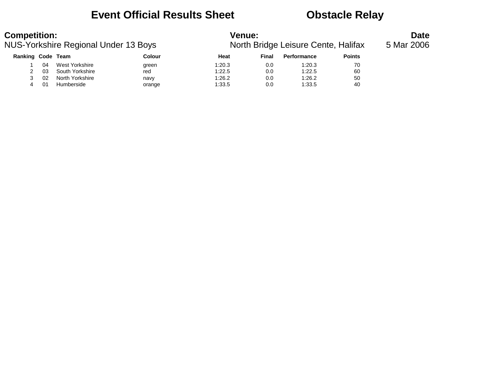### **Event Official Results Sheet Obstacle Relay**

### **Competition:**<br>**Date**<br>**North Bridge Leisure Cente, Halifax** 5 Mar 2006 NUS-Yorkshire Regional Under 13 Boys

| <b>Performance</b><br><b>Points</b> |
|-------------------------------------|
| 70<br>1:20.3                        |
| 60<br>1:22.5                        |
| 1:26.2<br>50                        |
| 1:33.5<br>40                        |
|                                     |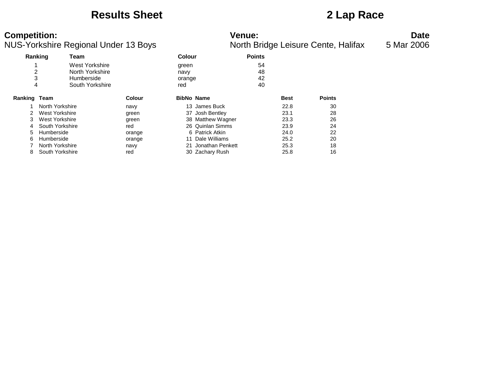### **Results Sheet 2 Lap Race**

| <b>Competition:</b> |                                      |               | <b>Venue:</b>                       | <b>Date</b> |
|---------------------|--------------------------------------|---------------|-------------------------------------|-------------|
|                     | NUS-Yorkshire Regional Under 13 Boys |               | North Bridge Leisure Cente, Halifax | 5 Mar 2006  |
| Ranking             | Team                                 | <b>Colour</b> | <b>Points</b>                       |             |
|                     | West Yorkshire                       | green         | 54                                  |             |
|                     | North Yorkshire                      | navy          | 48                                  |             |

| 3<br>4         | <b>Humberside</b><br>South Yorkshire | orange<br>red |    |                   | 42<br>40    |               |
|----------------|--------------------------------------|---------------|----|-------------------|-------------|---------------|
| Ranking        | Team                                 | <b>Colour</b> |    | <b>BibNo Name</b> | <b>Best</b> | <b>Points</b> |
|                | North Yorkshire                      | navy          |    | 13 James Buck     | 22.8        | 30            |
| $\overline{2}$ | West Yorkshire                       | green         |    | 37 Josh Bentley   | 23.1        | 28            |
| 3              | West Yorkshire                       | green         |    | 38 Matthew Wagner | 23.3        | 26            |
| 4              | South Yorkshire                      | red           |    | 26 Quinlan Simms  | 23.9        | 24            |
| 5              | Humberside                           | orange        |    | 6 Patrick Atkin   | 24.0        | 22            |
| 6              | Humberside                           | orange        |    | 11 Dale Williams  | 25.2        | 20            |
|                | North Yorkshire                      | navy          | 21 | Jonathan Penkett  | 25.3        | 18            |
| 8              | South Yorkshire                      | red           |    | 30 Zachary Rush   | 25.8        | 16            |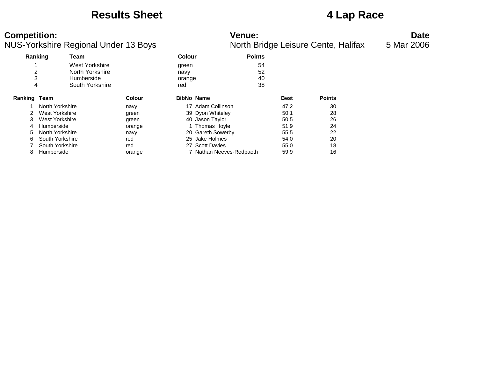### **Results Sheet 4 Lap Race**

| <b>Competition:</b>                  | Venue <sup>-</sup>                  | Date       |
|--------------------------------------|-------------------------------------|------------|
| NUS-Yorkshire Regional Under 13 Bovs | North Bridge Leisure Cente, Halifax | 5 Mar 2006 |

|         | Ranking<br>Team |                 | <b>Colour</b>     |                          | <b>Points</b> |               |
|---------|-----------------|-----------------|-------------------|--------------------------|---------------|---------------|
|         |                 | West Yorkshire  | green             |                          | 54            |               |
| 2       |                 | North Yorkshire | navy              |                          | 52            |               |
| 3       |                 | Humberside      | orange            |                          | 40            |               |
| 4       |                 | South Yorkshire | red               |                          | 38            |               |
| Ranking | Team            | <b>Colour</b>   | <b>BibNo Name</b> |                          | <b>Best</b>   | <b>Points</b> |
|         | North Yorkshire | navy            |                   | 17 Adam Collinson        | 47.2          | 30            |
| 2       | West Yorkshire  | green           |                   | 39 Dyon Whiteley         | 50.1          | 28            |
| 3       | West Yorkshire  | green           |                   | 40 Jason Taylor          | 50.5          | 26            |
| 4       | Humberside      | orange          |                   | Thomas Hoyle             | 51.9          | 24            |
| 5.      | North Yorkshire | navy            |                   | 20 Gareth Sowerby        | 55.5          | 22            |
| 6.      | South Yorkshire | red             |                   | 25 Jake Holmes           | 54.0          | 20            |
|         | South Yorkshire | red             | 27                | <b>Scott Davies</b>      | 55.0          | 18            |
| 8       | Humberside      | orange          |                   | 7 Nathan Neeves-Redpaoth | 59.9          | 16            |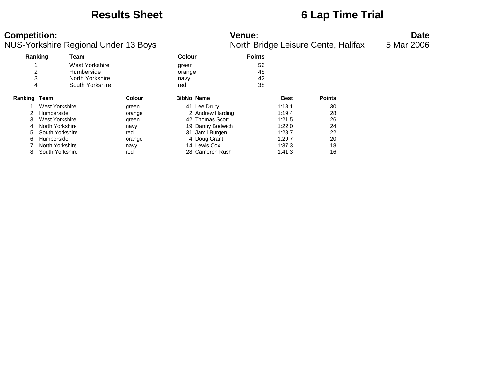### **Results Sheet 6 Lap Time Trial**

| <b>Competition:</b>                  | Venue <sup>.</sup>                 | Date       |
|--------------------------------------|------------------------------------|------------|
| NUS-Yorkshire Regional Under 13 Boys | North Bridge Leisure Cente Halifax | 5 Mar 2006 |

|              | ັ               |                                                                                                                                          |      |                                                                                                                                                                                                        |             | $\overline{\phantom{a}}$ |
|--------------|-----------------|------------------------------------------------------------------------------------------------------------------------------------------|------|--------------------------------------------------------------------------------------------------------------------------------------------------------------------------------------------------------|-------------|--------------------------|
| Ranking      | Team            |                                                                                                                                          |      | <b>Points</b>                                                                                                                                                                                          |             |                          |
|              | West Yorkshire  |                                                                                                                                          |      | 56                                                                                                                                                                                                     |             |                          |
| 2            | Humberside      |                                                                                                                                          |      | 48                                                                                                                                                                                                     |             |                          |
| 3            | North Yorkshire |                                                                                                                                          | navy | 42                                                                                                                                                                                                     |             |                          |
| 4            | South Yorkshire |                                                                                                                                          | red  | 38                                                                                                                                                                                                     |             |                          |
| Ranking Team |                 | <b>Colour</b>                                                                                                                            |      |                                                                                                                                                                                                        | <b>Best</b> | <b>Points</b>            |
|              |                 | green                                                                                                                                    |      |                                                                                                                                                                                                        | 1:18.1      | 30                       |
|              |                 | orange                                                                                                                                   |      |                                                                                                                                                                                                        | 1:19.4      | 28                       |
|              |                 | green                                                                                                                                    |      |                                                                                                                                                                                                        | 1:21.5      | 26                       |
|              |                 | navy                                                                                                                                     |      |                                                                                                                                                                                                        | 1:22.0      | 24                       |
|              |                 | red                                                                                                                                      |      |                                                                                                                                                                                                        | 1:28.7      | 22                       |
|              |                 | orange                                                                                                                                   |      |                                                                                                                                                                                                        | 1:29.7      | 20                       |
|              |                 | navy                                                                                                                                     |      |                                                                                                                                                                                                        | 1:37.3      | 18                       |
|              |                 | red                                                                                                                                      |      |                                                                                                                                                                                                        | 1:41.3      | 16                       |
|              |                 | West Yorkshire<br>Humberside<br>West Yorkshire<br>North Yorkshire<br>South Yorkshire<br>Humberside<br>North Yorkshire<br>South Yorkshire |      | <b>Colour</b><br>green<br>orange<br><b>BibNo Name</b><br>41 Lee Drury<br>2 Andrew Harding<br>42 Thomas Scott<br>19 Danny Bodwich<br>31 Jamil Burgen<br>4 Doug Grant<br>14 Lewis Cox<br>28 Cameron Rush |             | ັ                        |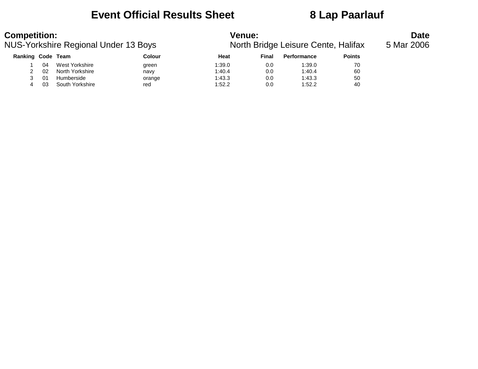### **Event Official Results Sheet 8 Lap Paarlauf**

| <b>Competition:</b> |    | NUS-Yorkshire Regional Under 13 Boys |        | <b>Venue:</b><br>North Bridge Leisure Cente, Halifax | <b>Date</b><br>5 Mar 2006 |             |               |  |
|---------------------|----|--------------------------------------|--------|------------------------------------------------------|---------------------------|-------------|---------------|--|
| Ranking Code Team   |    |                                      | Colour | Heat                                                 | Final                     | Performance | <b>Points</b> |  |
|                     | 04 | West Yorkshire                       | green  | 1:39.0                                               | 0.0                       | 1:39.0      | 70            |  |
|                     | 02 | North Yorkshire                      | navy   | 1:40.4                                               | 0.0                       | 1:40.4      | 60            |  |
|                     | 01 | Humberside                           | orange | 1:43.3                                               | 0.0                       | 1:43.3      | 50            |  |
|                     | 03 | South Yorkshire                      | red    | 1:52.2                                               | 0.0                       | 1:52.2      | 40            |  |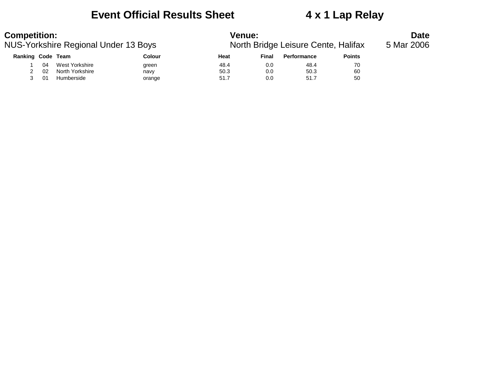### **Event Official Results Sheet 4 x 1 Lap Relay**

| <b>Competition:</b> |    | NUS-Yorkshire Regional Under 13 Boys |               | <b>Venue:</b><br>North Bridge Leisure Cente, Halifax | <b>Date</b><br>5 Mar 2006 |             |               |  |
|---------------------|----|--------------------------------------|---------------|------------------------------------------------------|---------------------------|-------------|---------------|--|
| Ranking Code Team   |    |                                      | <b>Colour</b> | Heat                                                 | Final                     | Performance | <b>Points</b> |  |
|                     | 04 | West Yorkshire                       | green         | 48.4                                                 | 0.0                       | 48.4        | 70            |  |
|                     | 02 | North Yorkshire                      | navy          | 50.3                                                 | 0.0                       | 50.3        | 60            |  |
|                     | 01 | Humberside                           | orange        | 51.7                                                 | 0.0                       | 51.7        | 50            |  |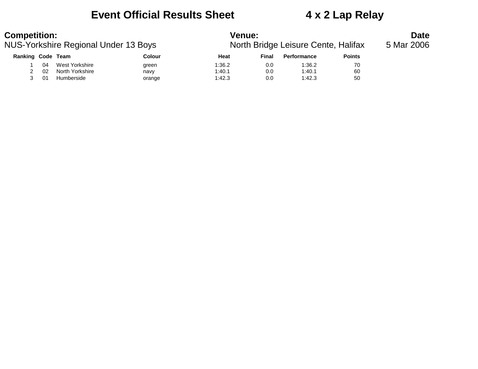### **Event Official Results Sheet 4 x 2 Lap Relay**

| <b>Competition:</b><br>NUS-Yorkshire Regional Under 13 Boys |     |                 |               | <b>Venue:</b><br>North Bridge Leisure Cente, Halifax | Date<br>5 Mar 2006 |                    |               |  |
|-------------------------------------------------------------|-----|-----------------|---------------|------------------------------------------------------|--------------------|--------------------|---------------|--|
| Ranking Code Team                                           |     |                 | <b>Colour</b> | Heat                                                 | Final              | <b>Performance</b> | <b>Points</b> |  |
|                                                             | 04  | West Yorkshire  | green         | 1:36.2                                               | 0.0                | 1:36.2             | 70            |  |
|                                                             | 02  | North Yorkshire | navy          | 1:40.1                                               | 0.0                | 1:40.1             | 60            |  |
|                                                             | -01 | Humberside      | orange        | 1:42.3                                               | 0.0                | 1:42.3             | 50            |  |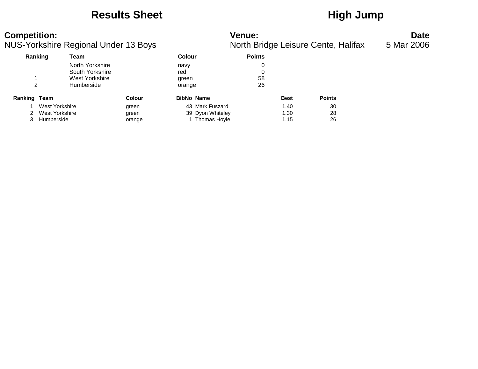### Results Sheet **High Jump**

# **Competition: Venue: Date**

|              | NUS-Yorkshire Regional Under 13 Boys |                 |               |        |                   |               | North Bridge Leisure Cente, Halifax | 5 Mar 2006    |  |
|--------------|--------------------------------------|-----------------|---------------|--------|-------------------|---------------|-------------------------------------|---------------|--|
|              | Ranking                              | Team            |               | Colour |                   | <b>Points</b> |                                     |               |  |
|              |                                      | North Yorkshire |               | navy   |                   |               |                                     |               |  |
|              |                                      | South Yorkshire |               | red    |                   |               |                                     |               |  |
|              |                                      | West Yorkshire  |               | green  |                   | 58            |                                     |               |  |
|              |                                      | Humberside      |               | orange |                   | 26            |                                     |               |  |
| Ranking Team |                                      |                 | <b>Colour</b> |        | <b>BibNo Name</b> |               | <b>Best</b>                         | <b>Points</b> |  |
|              | West Yorkshire                       |                 | green         |        | 43 Mark Fuszard   |               | 1.40                                | 30            |  |
|              | West Yorkshire                       |                 | green         |        | 39 Dyon Whiteley  |               | 1.30                                | 28            |  |
|              | Humberside                           |                 | orange        |        | Thomas Hoyle      |               | 1.15                                | 26            |  |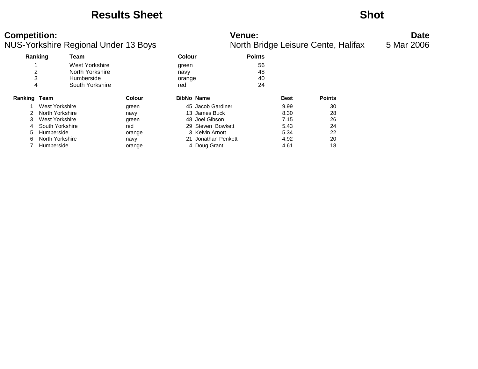### **Results Sheet Shot**

### **Competition: Venue: Date**

| Ranking       |                 | Team            |        | Colour            |                   | <b>Points</b> |             |               |
|---------------|-----------------|-----------------|--------|-------------------|-------------------|---------------|-------------|---------------|
|               |                 | West Yorkshire  |        | green             |                   | 56            |             |               |
| 2             |                 | North Yorkshire |        | navy              |                   | 48            |             |               |
| 3             |                 | Humberside      |        | orange            |                   | 40            |             |               |
| 4             |                 | South Yorkshire |        | red               |                   | 24            |             |               |
| Ranking Team  |                 |                 | Colour | <b>BibNo Name</b> |                   |               | <b>Best</b> | <b>Points</b> |
|               | West Yorkshire  |                 | green  |                   | 45 Jacob Gardiner |               | 9.99        | 30            |
| $\mathcal{P}$ | North Yorkshire |                 | navy   |                   | 13 James Buck     |               | 8.30        | 28            |
| 3             | West Yorkshire  |                 | green  |                   | 48 Joel Gibson    |               | 7.15        | 26            |
| 4             | South Yorkshire |                 | red    |                   | 29 Steven Bowkett |               | 5.43        | 24            |
| 5             | Humberside      |                 | orange |                   | 3 Kelvin Arnott   |               | 5.34        | 22            |
| 6             | North Yorkshire |                 | navy   | 21                | Jonathan Penkett  |               | 4.92        | 20            |
|               | Humberside      |                 | orange |                   | 4 Doug Grant      |               | 4.61        | 18            |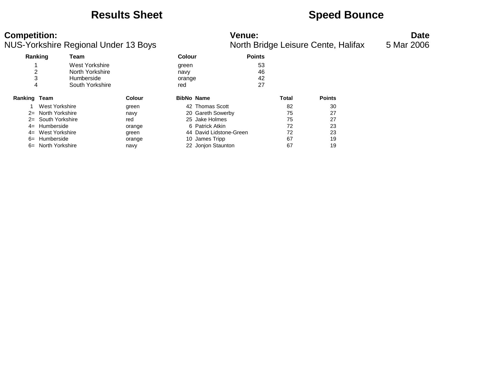### **Results Sheet Speed Bounce**

| <b>Competition:</b>                  |                      | <b>Venue:</b>                       | Date       |
|--------------------------------------|----------------------|-------------------------------------|------------|
| NUS-Yorkshire Regional Under 13 Boys |                      | North Bridge Leisure Cente, Halifax | 5 Mar 2006 |
| Deal-based<br><b>TAA-55</b>          | $\sim$ $\sim$ $\sim$ | <b>Delate</b>                       |            |

|              | Ranking         | Team            |               | Colour |                         | <b>Points</b> |       |               |
|--------------|-----------------|-----------------|---------------|--------|-------------------------|---------------|-------|---------------|
|              |                 | West Yorkshire  |               | green  |                         | 53            |       |               |
| 2            |                 | North Yorkshire |               | navy   |                         | 46            |       |               |
| 3            |                 | Humberside      |               | orange |                         | 42            |       |               |
| 4            |                 | South Yorkshire |               | red    |                         | 27            |       |               |
| Ranking Team |                 |                 | <b>Colour</b> |        | <b>BibNo Name</b>       |               | Total | <b>Points</b> |
|              | West Yorkshire  |                 | green         |        | 42 Thomas Scott         |               | 82    | 30            |
| $2=$         | North Yorkshire |                 | navy          |        | 20 Gareth Sowerby       |               | 75    | 27            |
| $2 =$        | South Yorkshire |                 | red           |        | 25 Jake Holmes          |               | 75    | 27            |
| $4=$         | Humberside      |                 | orange        |        | 6 Patrick Atkin         |               | 72    | 23            |
| $4=$         | West Yorkshire  |                 | green         |        | 44 David Lidstone-Green |               | 72    | 23            |
| $6=$         | Humberside      |                 | orange        |        | 10 James Tripp          |               | 67    | 19            |
| $6=$         | North Yorkshire |                 | navy          |        | 22 Jonjon Staunton      |               | 67    | 19            |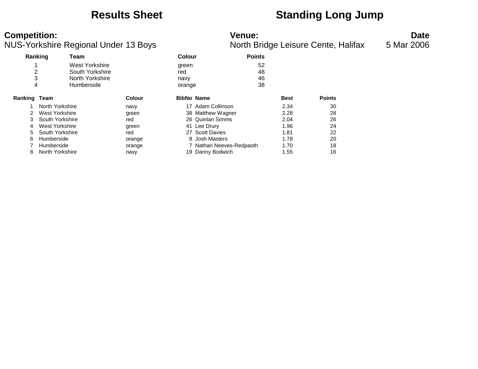### **Results Sheet Standing Long Jump**

NUS-Yorkshire Regional Under 13 Boys

**Competition:**<br>**Date**<br>Nunder 13 Boys **Date** Nunder 13 Boys **Date** Nunder 13 Boys **Date** North Bridge Leisure Cente, Halifax 5 Mar 2006

| Ranking |                 | Team            |               | Colour            |                          | <b>Points</b> |             |               |
|---------|-----------------|-----------------|---------------|-------------------|--------------------------|---------------|-------------|---------------|
|         |                 | West Yorkshire  |               | green             |                          | 52            |             |               |
| 2       |                 | South Yorkshire |               | red               |                          | 48            |             |               |
| 3       |                 | North Yorkshire |               | navy              |                          | 46            |             |               |
| 4       |                 | Humberside      |               | orange            |                          | 38            |             |               |
| Ranking | Team            |                 | <b>Colour</b> | <b>BibNo Name</b> |                          |               | <b>Best</b> | <b>Points</b> |
|         | North Yorkshire |                 | navy          | 17                | Adam Collinson           |               | 2.34        | 30            |
|         | West Yorkshire  |                 | green         |                   | 38 Matthew Wagner        |               | 2.28        | 28            |
| 3       | South Yorkshire |                 | red           |                   | 26 Quinlan Simms         |               | 2.04        | 26            |
| 4       | West Yorkshire  |                 | green         |                   | 41 Lee Drury             |               | 1.96        | 24            |
| 5.      | South Yorkshire |                 | red           |                   | 27 Scott Davies          |               | 1.81        | 22            |
| 6       | Humberside      |                 | orange        |                   | 8 Josh Masters           |               | 1.78        | 20            |
|         | Humberside      |                 | orange        |                   | 7 Nathan Neeves-Redpaoth |               | 1.70        | 18            |
| 8       | North Yorkshire |                 | navy          |                   | 19 Danny Bodwich         |               | 1.55        | 16            |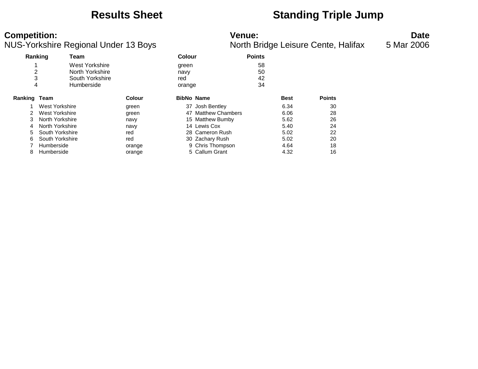### **Results Sheet Standing Triple Jump**

NUS-Yorkshire Regional Under 13 Boys

**Competition:**<br>**Date**<br>Nunder 13 Boys **Date** Nunder 13 Boys **Date** Nunder 13 Boys **Date** North Bridge Leisure Cente, Halifax 5 Mar 2006

| Ranking        |                 | Team            |               |        | <b>Points</b><br>Colour |    |             |               |
|----------------|-----------------|-----------------|---------------|--------|-------------------------|----|-------------|---------------|
|                |                 | West Yorkshire  |               | green  |                         | 58 |             |               |
| $\overline{2}$ |                 | North Yorkshire |               | navy   |                         | 50 |             |               |
| 3              |                 | South Yorkshire |               | red    |                         | 42 |             |               |
|                | 4               | Humberside      |               | orange |                         | 34 |             |               |
| Ranking        | Team            |                 | <b>Colour</b> |        | <b>BibNo Name</b>       |    | <b>Best</b> | <b>Points</b> |
|                | West Yorkshire  |                 | green         | 37     | Josh Bentley            |    | 6.34        | 30            |
| 2.             | West Yorkshire  |                 | green         | 47     | <b>Matthew Chambers</b> |    | 6.06        | 28            |
| 3              | North Yorkshire |                 | navy          |        | 15 Matthew Bumby        |    | 5.62        | 26            |
| 4              | North Yorkshire |                 | navy          |        | 14 Lewis Cox            |    | 5.40        | 24            |
| 5.             | South Yorkshire |                 | red           |        | 28 Cameron Rush         |    | 5.02        | 22            |
| 6              | South Yorkshire |                 | red           |        | 30 Zachary Rush         |    | 5.02        | 20            |
|                | Humberside      |                 | orange        |        | 9 Chris Thompson        |    | 4.64        | 18            |
| 8              | Humberside      |                 | orange        |        | 5 Callum Grant          |    | 4.32        | 16            |